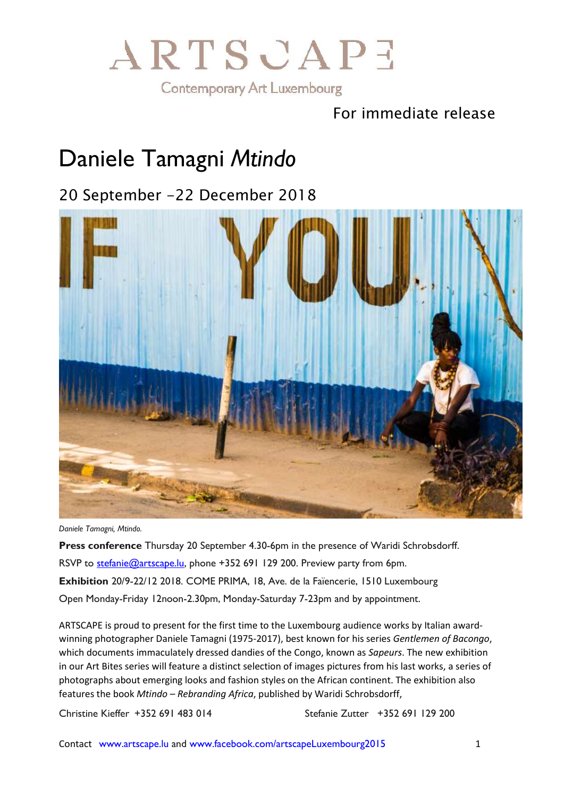

#### For immediate release

### Daniele Tamagni *Mtindo*

### 20 September -22 December 2018



*Daniele Tamagni, Mtindo.*

**Press conference** Thursday 20 September 4.30-6pm in the presence of Waridi Schrobsdorff. RSVP to [stefanie@artscape.lu,](mailto:stefanie@artscape.lu) phone +352 691 129 200. Preview party from 6pm. **Exhibition** 20/9-22/12 2018. COME PRIMA, 18, Ave. de la Faïencerie, 1510 Luxembourg Open Monday-Friday 12noon-2.30pm, Monday-Saturday 7-23pm and by appointment.

ARTSCAPE is proud to present for the first time to the Luxembourg audience works by Italian awardwinning photographer Daniele Tamagni (1975-2017), best known for his series *Gentlemen of Bacongo*, which documents immaculately dressed dandies of the Congo, known as *Sapeurs*. The new exhibition in our Art Bites series will feature a distinct selection of images pictures from his last works, a series of photographs about emerging looks and fashion styles on the African continent. The exhibition also features the book *Mtindo – Rebranding Africa*, published by Waridi Schrobsdorff,

Christine Kieffer +352 691 483 014 Stefanie Zutter +352 691 129 200